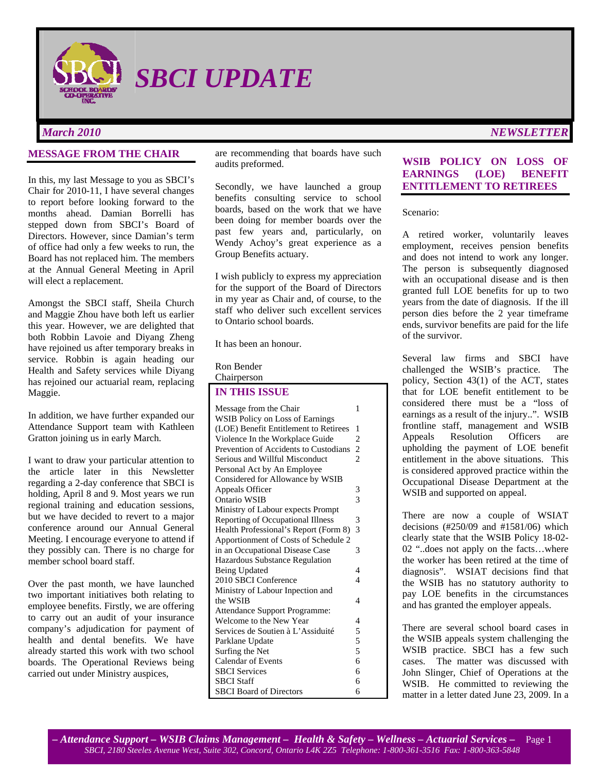

*SBCI UPDATE* 

#### **MESSAGE FROM THE CHAIR**

In this, my last Message to you as SBCI's Chair for 2010-11, I have several changes to report before looking forward to the months ahead. Damian Borrelli has stepped down from SBCI's Board of Directors. However, since Damian's term of office had only a few weeks to run, the Board has not replaced him. The members at the Annual General Meeting in April will elect a replacement.

Amongst the SBCI staff, Sheila Church and Maggie Zhou have both left us earlier this year. However, we are delighted that both Robbin Lavoie and Diyang Zheng have rejoined us after temporary breaks in service. Robbin is again heading our Health and Safety services while Diyang has rejoined our actuarial ream, replacing Maggie.

In addition, we have further expanded our Attendance Support team with Kathleen Gratton joining us in early March.

I want to draw your particular attention to the article later in this Newsletter regarding a 2-day conference that SBCI is holding, April 8 and 9. Most years we run regional training and education sessions, but we have decided to revert to a major conference around our Annual General Meeting. I encourage everyone to attend if they possibly can. There is no charge for member school board staff.

Over the past month, we have launched two important initiatives both relating to employee benefits. Firstly, we are offering to carry out an audit of your insurance company's adjudication for payment of health and dental benefits. We have already started this work with two school boards. The Operational Reviews being carried out under Ministry auspices,

are recommending that boards have such audits preformed.

Secondly, we have launched a group benefits consulting service to school boards, based on the work that we have been doing for member boards over the past few years and, particularly, on Wendy Achoy's great experience as a Group Benefits actuary.

I wish publicly to express my appreciation for the support of the Board of Directors in my year as Chair and, of course, to the staff who deliver such excellent services to Ontario school boards.

It has been an honour.

Ron Bender

Chairperson

#### **IN THIS ISSUE**

| Message from the Chair                | 1                       |
|---------------------------------------|-------------------------|
| WSIB Policy on Loss of Earnings       |                         |
| (LOE) Benefit Entitlement to Retirees | 1                       |
| Violence In the Workplace Guide       | 2                       |
| Prevention of Accidents to Custodians | $\overline{\mathbf{c}}$ |
| Serious and Willful Misconduct        | $\overline{2}$          |
| Personal Act by An Employee           |                         |
| Considered for Allowance by WSIB      |                         |
| Appeals Officer                       | 3                       |
| Ontario WSIB                          | 3                       |
| Ministry of Labour expects Prompt     |                         |
| Reporting of Occupational Illness     | 3                       |
| Health Professional's Report (Form 8) | 3                       |
| Apportionment of Costs of Schedule 2  |                         |
| in an Occupational Disease Case       | 3                       |
| Hazardous Substance Regulation        |                         |
| Being Updated                         | 4                       |
| 2010 SBCI Conference                  | $\overline{4}$          |
| Ministry of Labour Inpection and      |                         |
| the WSIB                              | 4                       |
| Attendance Support Programme:         |                         |
| Welcome to the New Year               | 4                       |
| Services de Soutien à L'Assiduité     | 5                       |
| Parklane Update                       | 5                       |
| Surfing the Net                       | 5                       |
| <b>Calendar of Events</b>             | 6                       |
| <b>SBCI</b> Services                  | 6                       |
| <b>SBCI</b> Staff                     | 6                       |
| <b>SBCI</b> Board of Directors        | 6                       |

# **WSIB POLICY ON LOSS OF EARNINGS (LOE) BENEFIT**

**ENTITLEMENT TO RETIREES** 

#### Scenario:

A retired worker, voluntarily leaves employment, receives pension benefits and does not intend to work any longer. The person is subsequently diagnosed with an occupational disease and is then granted full LOE benefits for up to two years from the date of diagnosis. If the ill person dies before the 2 year timeframe ends, survivor benefits are paid for the life of the survivor.

Several law firms and SBCI have challenged the WSIB's practice. The policy, Section 43(1) of the ACT, states that for LOE benefit entitlement to be considered there must be a "loss of earnings as a result of the injury..". WSIB frontline staff, management and WSIB Appeals Resolution Officers are upholding the payment of LOE benefit entitlement in the above situations. This is considered approved practice within the Occupational Disease Department at the WSIB and supported on appeal.

There are now a couple of WSIAT decisions (#250/09 and #1581/06) which clearly state that the WSIB Policy 18-02- 02 "..does not apply on the facts…where the worker has been retired at the time of diagnosis". WSIAT decisions find that the WSIB has no statutory authority to pay LOE benefits in the circumstances and has granted the employer appeals.

There are several school board cases in the WSIB appeals system challenging the WSIB practice. SBCI has a few such cases. The matter was discussed with John Slinger, Chief of Operations at the WSIB. He committed to reviewing the matter in a letter dated June 23, 2009. In a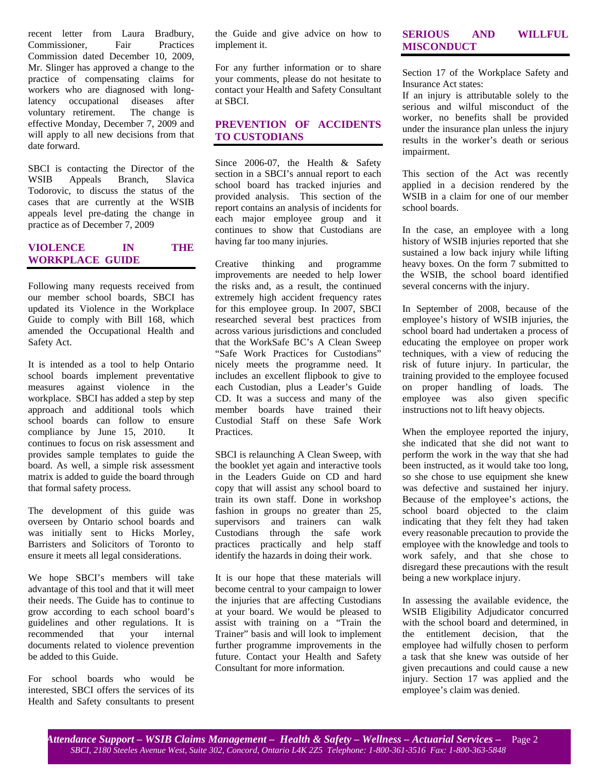recent letter from Laura Bradbury, Commissioner, Fair Practices Commission dated December 10, 2009, Mr. Slinger has approved a change to the practice of compensating claims for workers who are diagnosed with longlatency occupational diseases after voluntary retirement. The change is effective Monday, December 7, 2009 and will apply to all new decisions from that date forward.

SBCI is contacting the Director of the WSIB Appeals Branch, Slavica Todorovic, to discuss the status of the cases that are currently at the WSIB appeals level pre-dating the change in practice as of December 7, 2009

## **VIOLENCE IN THE WORKPLACE GUIDE**

Following many requests received from our member school boards, SBCI has updated its Violence in the Workplace Guide to comply with Bill 168, which amended the Occupational Health and Safety Act.

It is intended as a tool to help Ontario school boards implement preventative measures against violence in the workplace. SBCI has added a step by step approach and additional tools which school boards can follow to ensure compliance by June 15, 2010. It continues to focus on risk assessment and provides sample templates to guide the board. As well, a simple risk assessment matrix is added to guide the board through that formal safety process.

The development of this guide was overseen by Ontario school boards and was initially sent to Hicks Morley, Barristers and Solicitors of Toronto to ensure it meets all legal considerations.

We hope SBCI's members will take advantage of this tool and that it will meet their needs. The Guide has to continue to grow according to each school board's guidelines and other regulations. It is recommended that your internal documents related to violence prevention be added to this Guide.

For school boards who would be interested, SBCI offers the services of its Health and Safety consultants to present the Guide and give advice on how to implement it.

For any further information or to share your comments, please do not hesitate to contact your Health and Safety Consultant at SBCI.

## **PREVENTION OF ACCIDENTS TO CUSTODIANS**

Since 2006-07, the Health & Safety section in a SBCI's annual report to each school board has tracked injuries and provided analysis. This section of the report contains an analysis of incidents for each major employee group and it continues to show that Custodians are having far too many injuries.

Creative thinking and programme improvements are needed to help lower the risks and, as a result, the continued extremely high accident frequency rates for this employee group. In 2007, SBCI researched several best practices from across various jurisdictions and concluded that the WorkSafe BC's A Clean Sweep "Safe Work Practices for Custodians" nicely meets the programme need. It includes an excellent flipbook to give to each Custodian, plus a Leader's Guide CD. It was a success and many of the member boards have trained their Custodial Staff on these Safe Work Practices.

SBCI is relaunching A Clean Sweep, with the booklet yet again and interactive tools in the Leaders Guide on CD and hard copy that will assist any school board to train its own staff. Done in workshop fashion in groups no greater than 25, supervisors and trainers can walk Custodians through the safe work practices practically and help staff identify the hazards in doing their work.

It is our hope that these materials will become central to your campaign to lower the injuries that are affecting Custodians at your board. We would be pleased to assist with training on a "Train the Trainer" basis and will look to implement further programme improvements in the future. Contact your Health and Safety Consultant for more information.

### **SERIOUS AND WILLFUL MISCONDUCT**

Section 17 of the Workplace Safety and Insurance Act states:

If an injury is attributable solely to the serious and wilful misconduct of the worker, no benefits shall be provided under the insurance plan unless the injury results in the worker's death or serious impairment.

This section of the Act was recently applied in a decision rendered by the WSIB in a claim for one of our member school boards.

In the case, an employee with a long history of WSIB injuries reported that she sustained a low back injury while lifting heavy boxes. On the form 7 submitted to the WSIB, the school board identified several concerns with the injury.

In September of 2008, because of the employee's history of WSIB injuries, the school board had undertaken a process of educating the employee on proper work techniques, with a view of reducing the risk of future injury. In particular, the training provided to the employee focused on proper handling of loads. The employee was also given specific instructions not to lift heavy objects.

When the employee reported the injury, she indicated that she did not want to perform the work in the way that she had been instructed, as it would take too long, so she chose to use equipment she knew was defective and sustained her injury. Because of the employee's actions, the school board objected to the claim indicating that they felt they had taken every reasonable precaution to provide the employee with the knowledge and tools to work safely, and that she chose to disregard these precautions with the result being a new workplace injury.

In assessing the available evidence, the WSIB Eligibility Adjudicator concurred with the school board and determined, in the entitlement decision, that the employee had wilfully chosen to perform a task that she knew was outside of her given precautions and could cause a new injury. Section 17 was applied and the employee's claim was denied.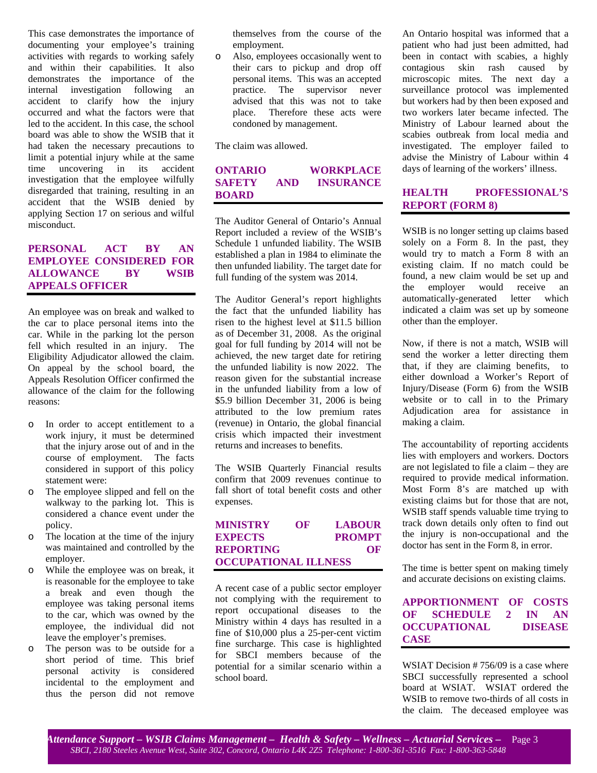This case demonstrates the importance of documenting your employee's training activities with regards to working safely and within their capabilities. It also demonstrates the importance of the internal investigation following an accident to clarify how the injury occurred and what the factors were that led to the accident. In this case, the school board was able to show the WSIB that it had taken the necessary precautions to limit a potential injury while at the same time uncovering in its accident investigation that the employee wilfully disregarded that training, resulting in an accident that the WSIB denied by applying Section 17 on serious and wilful misconduct.

## **PERSONAL ACT BY AN EMPLOYEE CONSIDERED FOR ALLOWANCE BY WSIB APPEALS OFFICER**

An employee was on break and walked to the car to place personal items into the car. While in the parking lot the person fell which resulted in an injury. The Eligibility Adjudicator allowed the claim. On appeal by the school board, the Appeals Resolution Officer confirmed the allowance of the claim for the following reasons:

- o In order to accept entitlement to a work injury, it must be determined that the injury arose out of and in the course of employment. The facts considered in support of this policy statement were:
- The employee slipped and fell on the walkway to the parking lot. This is considered a chance event under the policy.
- o The location at the time of the injury was maintained and controlled by the employer.
- o While the employee was on break, it is reasonable for the employee to take a break and even though the employee was taking personal items to the car, which was owned by the employee, the individual did not leave the employer's premises.
- o The person was to be outside for a short period of time. This brief personal activity is considered incidental to the employment and thus the person did not remove

themselves from the course of the employment.

o Also, employees occasionally went to their cars to pickup and drop off personal items. This was an accepted practice. The supervisor never advised that this was not to take place. Therefore these acts were condoned by management.

The claim was allowed.

## **ONTARIO WORKPLACE SAFETY AND INSURANCE BOARD**

The Auditor General of Ontario's Annual Report included a review of the WSIB's Schedule 1 unfunded liability. The WSIB established a plan in 1984 to eliminate the then unfunded liability. The target date for full funding of the system was 2014.

The Auditor General's report highlights the fact that the unfunded liability has risen to the highest level at \$11.5 billion as of December 31, 2008. As the original goal for full funding by 2014 will not be achieved, the new target date for retiring the unfunded liability is now 2022. The reason given for the substantial increase in the unfunded liability from a low of \$5.9 billion December 31, 2006 is being attributed to the low premium rates (revenue) in Ontario, the global financial crisis which impacted their investment returns and increases to benefits.

The WSIB Quarterly Financial results confirm that 2009 revenues continue to fall short of total benefit costs and other expenses.

**MINISTRY OF LABOUR EXPECTS PROMPT REPORTING OF OCCUPATIONAL ILLNESS**

A recent case of a public sector employer not complying with the requirement to report occupational diseases to the Ministry within 4 days has resulted in a fine of \$10,000 plus a 25-per-cent victim fine surcharge. This case is highlighted for SBCI members because of the potential for a similar scenario within a school board.

An Ontario hospital was informed that a patient who had just been admitted, had been in contact with scabies, a highly contagious skin rash caused by microscopic mites. The next day a surveillance protocol was implemented but workers had by then been exposed and two workers later became infected. The Ministry of Labour learned about the scabies outbreak from local media and investigated. The employer failed to advise the Ministry of Labour within 4 days of learning of the workers' illness.

# **HEALTH PROFESSIONAL'S REPORT (FORM 8)**

WSIB is no longer setting up claims based solely on a Form 8. In the past, they would try to match a Form 8 with an existing claim. If no match could be found, a new claim would be set up and the employer would receive an automatically-generated letter which indicated a claim was set up by someone other than the employer.

Now, if there is not a match, WSIB will send the worker a letter directing them that, if they are claiming benefits, to either download a Worker's Report of Injury/Disease (Form 6) from the WSIB website or to call in to the Primary Adjudication area for assistance in making a claim.

The accountability of reporting accidents lies with employers and workers. Doctors are not legislated to file a claim – they are required to provide medical information. Most Form 8's are matched up with existing claims but for those that are not, WSIB staff spends valuable time trying to track down details only often to find out the injury is non-occupational and the doctor has sent in the Form 8, in error.

The time is better spent on making timely and accurate decisions on existing claims.

## **APPORTIONMENT OF COSTS OF SCHEDULE 2 IN AN OCCUPATIONAL DISEASE CASE**

WSIAT Decision # 756/09 is a case where SBCI successfully represented a school board at WSIAT. WSIAT ordered the WSIB to remove two-thirds of all costs in the claim. The deceased employee was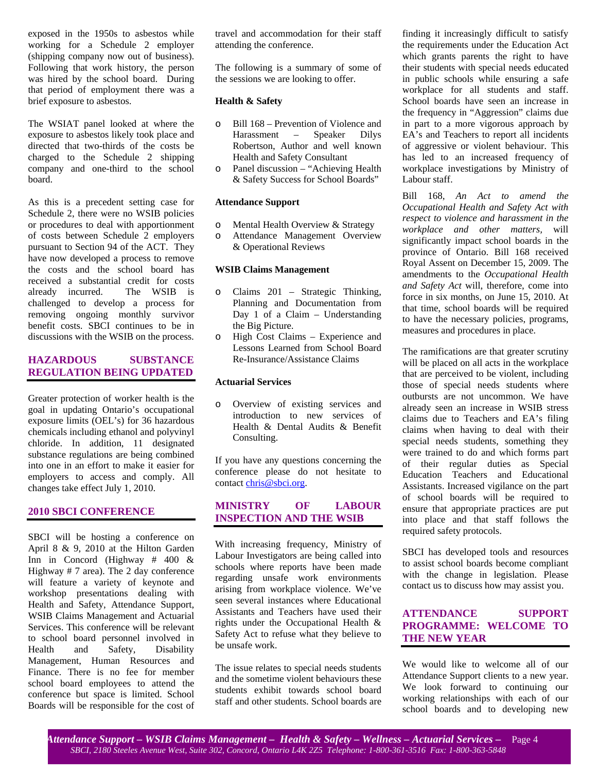exposed in the 1950s to asbestos while working for a Schedule 2 employer (shipping company now out of business). Following that work history, the person was hired by the school board. During that period of employment there was a brief exposure to asbestos.

The WSIAT panel looked at where the exposure to asbestos likely took place and directed that two-thirds of the costs be charged to the Schedule 2 shipping company and one-third to the school board.

As this is a precedent setting case for Schedule 2, there were no WSIB policies or procedures to deal with apportionment of costs between Schedule 2 employers pursuant to Section 94 of the ACT. They have now developed a process to remove the costs and the school board has received a substantial credit for costs already incurred. The WSIB is challenged to develop a process for removing ongoing monthly survivor benefit costs. SBCI continues to be in discussions with the WSIB on the process.

## **HAZARDOUS SUBSTANCE REGULATION BEING UPDATED**

Greater protection of worker health is the goal in updating Ontario's occupational exposure limits (OEL's) for 36 hazardous chemicals including ethanol and polyvinyl chloride. In addition, 11 designated substance regulations are being combined into one in an effort to make it easier for employers to access and comply. All changes take effect July 1, 2010.

#### **2010 SBCI CONFERENCE**

SBCI will be hosting a conference on April 8 & 9, 2010 at the Hilton Garden Inn in Concord (Highway # 400 & Highway # 7 area). The 2 day conference will feature a variety of keynote and workshop presentations dealing with Health and Safety, Attendance Support, WSIB Claims Management and Actuarial Services. This conference will be relevant to school board personnel involved in Health and Safety, Disability Management, Human Resources and Finance. There is no fee for member school board employees to attend the conference but space is limited. School Boards will be responsible for the cost of travel and accommodation for their staff attending the conference.

The following is a summary of some of the sessions we are looking to offer.

#### **Health & Safety**

- o Bill 168 Prevention of Violence and Harassment – Speaker Dilys Robertson, Author and well known Health and Safety Consultant
- o Panel discussion "Achieving Health & Safety Success for School Boards"

#### **Attendance Support**

- o Mental Health Overview & Strategy
- o Attendance Management Overview
- & Operational Reviews

#### **WSIB Claims Management**

- o Claims 201 Strategic Thinking, Planning and Documentation from Day 1 of a Claim – Understanding the Big Picture.
- o High Cost Claims Experience and Lessons Learned from School Board Re-Insurance/Assistance Claims

#### **Actuarial Services**

o Overview of existing services and introduction to new services of Health & Dental Audits & Benefit Consulting.

If you have any questions concerning the conference please do not hesitate to contact chris@sbci.org.

### **MINISTRY OF LABOUR INSPECTION AND THE WSIB**

With increasing frequency, Ministry of Labour Investigators are being called into schools where reports have been made regarding unsafe work environments arising from workplace violence. We've seen several instances where Educational Assistants and Teachers have used their rights under the Occupational Health & Safety Act to refuse what they believe to be unsafe work.

The issue relates to special needs students and the sometime violent behaviours these students exhibit towards school board staff and other students. School boards are finding it increasingly difficult to satisfy the requirements under the Education Act which grants parents the right to have their students with special needs educated in public schools while ensuring a safe workplace for all students and staff. School boards have seen an increase in the frequency in "Aggression" claims due in part to a more vigorous approach by EA's and Teachers to report all incidents of aggressive or violent behaviour. This has led to an increased frequency of workplace investigations by Ministry of Labour staff.

Bill 168, *An Act to amend the Occupational Health and Safety Act with respect to violence and harassment in the workplace and other matters,* will significantly impact school boards in the province of Ontario. Bill 168 received Royal Assent on December 15, 2009. The amendments to the *Occupational Health and Safety Act* will, therefore, come into force in six months, on June 15, 2010. At that time, school boards will be required to have the necessary policies, programs, measures and procedures in place.

The ramifications are that greater scrutiny will be placed on all acts in the workplace that are perceived to be violent, including those of special needs students where outbursts are not uncommon. We have already seen an increase in WSIB stress claims due to Teachers and EA's filing claims when having to deal with their special needs students, something they were trained to do and which forms part of their regular duties as Special Education Teachers and Educational Assistants. Increased vigilance on the part of school boards will be required to ensure that appropriate practices are put into place and that staff follows the required safety protocols.

SBCI has developed tools and resources to assist school boards become compliant with the change in legislation. Please contact us to discuss how may assist you.

## **ATTENDANCE SUPPORT PROGRAMME: WELCOME TO THE NEW YEAR**

We would like to welcome all of our Attendance Support clients to a new year. We look forward to continuing our working relationships with each of our school boards and to developing new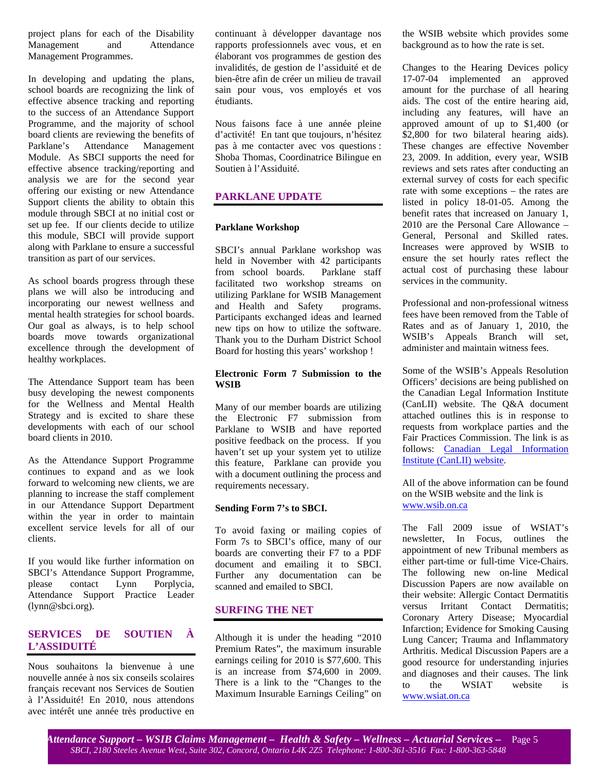project plans for each of the Disability Management and Attendance Management Programmes.

In developing and updating the plans, school boards are recognizing the link of effective absence tracking and reporting to the success of an Attendance Support Programme, and the majority of school board clients are reviewing the benefits of Parklane's Attendance Management Module. As SBCI supports the need for effective absence tracking/reporting and analysis we are for the second year offering our existing or new Attendance Support clients the ability to obtain this module through SBCI at no initial cost or set up fee. If our clients decide to utilize this module, SBCI will provide support along with Parklane to ensure a successful transition as part of our services.

As school boards progress through these plans we will also be introducing and incorporating our newest wellness and mental health strategies for school boards. Our goal as always, is to help school boards move towards organizational excellence through the development of healthy workplaces.

The Attendance Support team has been busy developing the newest components for the Wellness and Mental Health Strategy and is excited to share these developments with each of our school board clients in 2010.

As the Attendance Support Programme continues to expand and as we look forward to welcoming new clients, we are planning to increase the staff complement in our Attendance Support Department within the year in order to maintain excellent service levels for all of our clients.

If you would like further information on SBCI's Attendance Support Programme, please contact Lynn Porplycia, Attendance Support Practice Leader (lynn@sbci.org).

## **SERVICES DE SOUTIEN À L'ASSIDUITÉ**

Nous souhaitons la bienvenue à une nouvelle année à nos six conseils scolaires français recevant nos Services de Soutien à l'Assiduité! En 2010, nous attendons avec intérêt une année très productive en continuant à développer davantage nos rapports professionnels avec vous, et en élaborant vos programmes de gestion des invalidités, de gestion de l'assiduité et de bien-être afin de créer un milieu de travail sain pour vous, vos employés et vos étudiants.

Nous faisons face à une année pleine d'activité! En tant que toujours, n'hésitez pas à me contacter avec vos questions : Shoba Thomas, Coordinatrice Bilingue en Soutien à l'Assiduité.

# **PARKLANE UPDATE**

#### **Parklane Workshop**

SBCI's annual Parklane workshop was held in November with 42 participants from school boards. Parklane staff facilitated two workshop streams on utilizing Parklane for WSIB Management<br>and Health and Safety programs. and Health and Safety Participants exchanged ideas and learned new tips on how to utilize the software. Thank you to the Durham District School Board for hosting this years' workshop !

#### **Electronic Form 7 Submission to the WSIB**

Many of our member boards are utilizing the Electronic F7 submission from Parklane to WSIB and have reported positive feedback on the process. If you haven't set up your system yet to utilize this feature, Parklane can provide you with a document outlining the process and requirements necessary.

#### **Sending Form 7's to SBCI.**

To avoid faxing or mailing copies of Form 7s to SBCI's office, many of our boards are converting their F7 to a PDF document and emailing it to SBCI. Further any documentation can be scanned and emailed to SBCI.

### **SURFING THE NET**

Although it is under the heading "2010 Premium Rates", the maximum insurable earnings ceiling for 2010 is \$77,600. This is an increase from \$74,600 in 2009. There is a link to the "Changes to the Maximum Insurable Earnings Ceiling" on

the WSIB website which provides some background as to how the rate is set.

Changes to the Hearing Devices policy 17-07-04 implemented an approved amount for the purchase of all hearing aids. The cost of the entire hearing aid, including any features, will have an approved amount of up to \$1,400 (or \$2,800 for two bilateral hearing aids). These changes are effective November 23, 2009. In addition, every year, WSIB reviews and sets rates after conducting an external survey of costs for each specific rate with some exceptions – the rates are listed in policy 18-01-05. Among the benefit rates that increased on January 1, 2010 are the Personal Care Allowance – General, Personal and Skilled rates. Increases were approved by WSIB to ensure the set hourly rates reflect the actual cost of purchasing these labour services in the community.

Professional and non-professional witness fees have been removed from the Table of Rates and as of January 1, 2010, the WSIB's Appeals Branch will set, administer and maintain witness fees.

Some of the WSIB's Appeals Resolution Officers' decisions are being published on the Canadian Legal Information Institute (CanLII) website. The Q&A document attached outlines this is in response to requests from workplace parties and the Fair Practices Commission. The link is as follows: Canadian Legal Information Institute (CanLII) website.

All of the above information can be found on the WSIB website and the link is www.wsib.on.ca

The Fall 2009 issue of WSIAT's newsletter, In Focus, outlines the appointment of new Tribunal members as either part-time or full-time Vice-Chairs. The following new on-line Medical Discussion Papers are now available on their website: Allergic Contact Dermatitis versus Irritant Contact Dermatitis; Coronary Artery Disease; Myocardial Infarction; Evidence for Smoking Causing Lung Cancer; Trauma and Inflammatory Arthritis. Medical Discussion Papers are a good resource for understanding injuries and diagnoses and their causes. The link to the WSIAT website is www.wsiat.on.ca